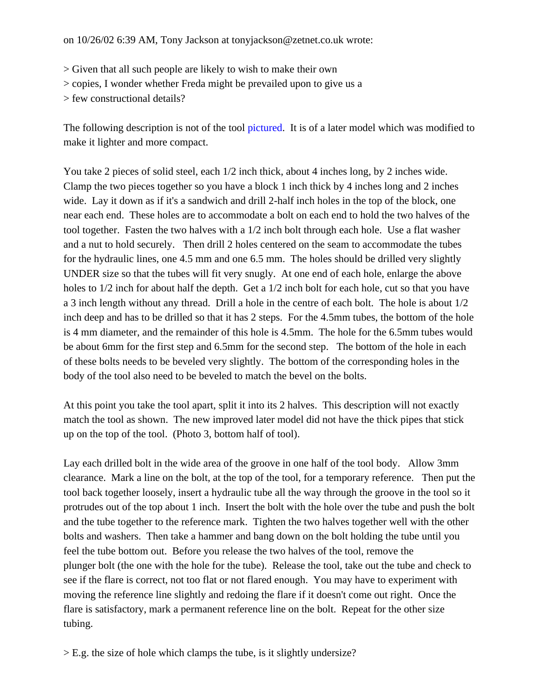on 10/26/02 6:39 AM, Tony Jackson at tonyjackson@zetnet.co.uk wrote:

> Given that all such people are likely to wish to make their own

> copies, I wonder whether Freda might be prevailed upon to give us a

> few constructional details?

The following description is not of the tool [pictured.](#page-13-0) It is of a later model which was modified to make it lighter and more compact.

You take 2 pieces of solid steel, each  $1/2$  inch thick, about 4 inches long, by 2 inches wide. Clamp the two pieces together so you have a block 1 inch thick by 4 inches long and 2 inches wide. Lay it down as if it's a sandwich and drill 2-half inch holes in the top of the block, one near each end. These holes are to accommodate a bolt on each end to hold the two halves of the tool together. Fasten the two halves with a 1/2 inch bolt through each hole. Use a flat washer and a nut to hold securely. Then drill 2 holes centered on the seam to accommodate the tubes for the hydraulic lines, one 4.5 mm and one 6.5 mm. The holes should be drilled very slightly UNDER size so that the tubes will fit very snugly. At one end of each hole, enlarge the above holes to  $1/2$  inch for about half the depth. Get a  $1/2$  inch bolt for each hole, cut so that you have a 3 inch length without any thread. Drill a hole in the centre of each bolt. The hole is about 1/2 inch deep and has to be drilled so that it has 2 steps. For the 4.5mm tubes, the bottom of the hole is 4 mm diameter, and the remainder of this hole is 4.5mm. The hole for the 6.5mm tubes would be about 6mm for the first step and 6.5mm for the second step. The bottom of the hole in each of these bolts needs to be beveled very slightly. The bottom of the corresponding holes in the body of the tool also need to be beveled to match the bevel on the bolts.

At this point you take the tool apart, split it into its 2 halves. This description will not exactly match the tool as shown. The new improved later model did not have the thick pipes that stick up on the top of the tool. (Photo 3, bottom half of tool).

Lay each drilled bolt in the wide area of the groove in one half of the tool body. Allow 3mm clearance. Mark a line on the bolt, at the top of the tool, for a temporary reference. Then put the tool back together loosely, insert a hydraulic tube all the way through the groove in the tool so it protrudes out of the top about 1 inch. Insert the bolt with the hole over the tube and push the bolt and the tube together to the reference mark. Tighten the two halves together well with the other bolts and washers. Then take a hammer and bang down on the bolt holding the tube until you feel the tube bottom out. Before you release the two halves of the tool, remove the plunger bolt (the one with the hole for the tube). Release the tool, take out the tube and check to see if the flare is correct, not too flat or not flared enough. You may have to experiment with moving the reference line slightly and redoing the flare if it doesn't come out right. Once the flare is satisfactory, mark a permanent reference line on the bolt. Repeat for the other size tubing.

> E.g. the size of hole which clamps the tube, is it slightly undersize?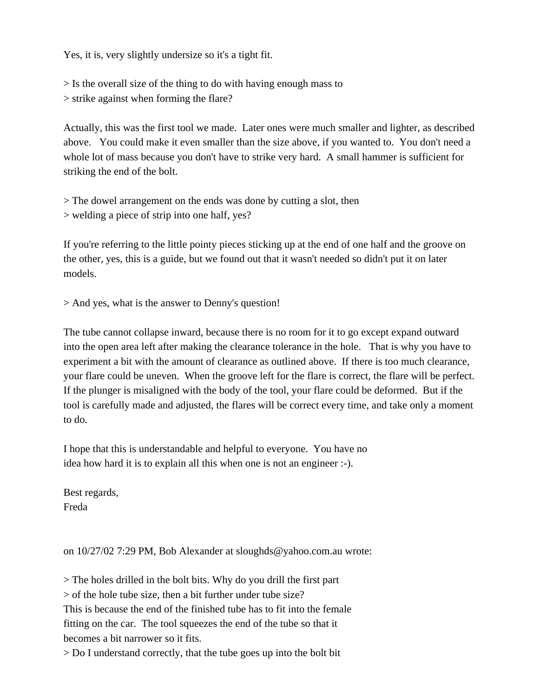Yes, it is, very slightly undersize so it's a tight fit.

> Is the overall size of the thing to do with having enough mass to > strike against when forming the flare?

Actually, this was the first tool we made. Later ones were much smaller and lighter, as described above. You could make it even smaller than the size above, if you wanted to. You don't need a whole lot of mass because you don't have to strike very hard. A small hammer is sufficient for striking the end of the bolt.

> The dowel arrangement on the ends was done by cutting a slot, then > welding a piece of strip into one half, yes?

If you're referring to the little pointy pieces sticking up at the end of one half and the groove on the other, yes, this is a guide, but we found out that it wasn't needed so didn't put it on later models.

> And yes, what is the answer to Denny's question!

The tube cannot collapse inward, because there is no room for it to go except expand outward into the open area left after making the clearance tolerance in the hole. That is why you have to experiment a bit with the amount of clearance as outlined above. If there is too much clearance, your flare could be uneven. When the groove left for the flare is correct, the flare will be perfect. If the plunger is misaligned with the body of the tool, your flare could be deformed. But if the tool is carefully made and adjusted, the flares will be correct every time, and take only a moment to do.

I hope that this is understandable and helpful to everyone. You have no idea how hard it is to explain all this when one is not an engineer :-).

Best regards, Freda

on 10/27/02 7:29 PM, Bob Alexander at sloughds@yahoo.com.au wrote:

> The holes drilled in the bolt bits. Why do you drill the first part > of the hole tube size, then a bit further under tube size? This is because the end of the finished tube has to fit into the female fitting on the car. The tool squeezes the end of the tube so that it becomes a bit narrower so it fits.

> Do I understand correctly, that the tube goes up into the bolt bit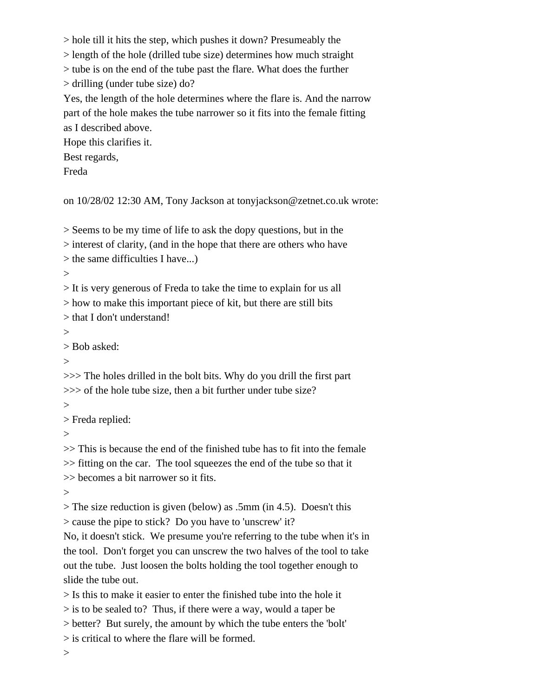> hole till it hits the step, which pushes it down? Presumeably the

> length of the hole (drilled tube size) determines how much straight

> tube is on the end of the tube past the flare. What does the further

> drilling (under tube size) do?

Yes, the length of the hole determines where the flare is. And the narrow part of the hole makes the tube narrower so it fits into the female fitting as I described above.

Hope this clarifies it.

Best regards,

Freda

on 10/28/02 12:30 AM, Tony Jackson at tonyjackson@zetnet.co.uk wrote:

> Seems to be my time of life to ask the dopy questions, but in the

> interest of clarity, (and in the hope that there are others who have

- > the same difficulties I have...)
- $\geq$

> It is very generous of Freda to take the time to explain for us all

> how to make this important piece of kit, but there are still bits

> that I don't understand!

 $\geq$ 

> Bob asked:

>

>>> The holes drilled in the bolt bits. Why do you drill the first part >>> of the hole tube size, then a bit further under tube size?

 $\geq$ 

> Freda replied:

 $\geq$ 

 $\gg$  This is because the end of the finished tube has to fit into the female >> fitting on the car. The tool squeezes the end of the tube so that it >> becomes a bit narrower so it fits.

>

> The size reduction is given (below) as .5mm (in 4.5). Doesn't this > cause the pipe to stick? Do you have to 'unscrew' it?

No, it doesn't stick. We presume you're referring to the tube when it's in the tool. Don't forget you can unscrew the two halves of the tool to take out the tube. Just loosen the bolts holding the tool together enough to slide the tube out.

> Is this to make it easier to enter the finished tube into the hole it

> is to be sealed to? Thus, if there were a way, would a taper be

> better? But surely, the amount by which the tube enters the 'bolt'

> is critical to where the flare will be formed.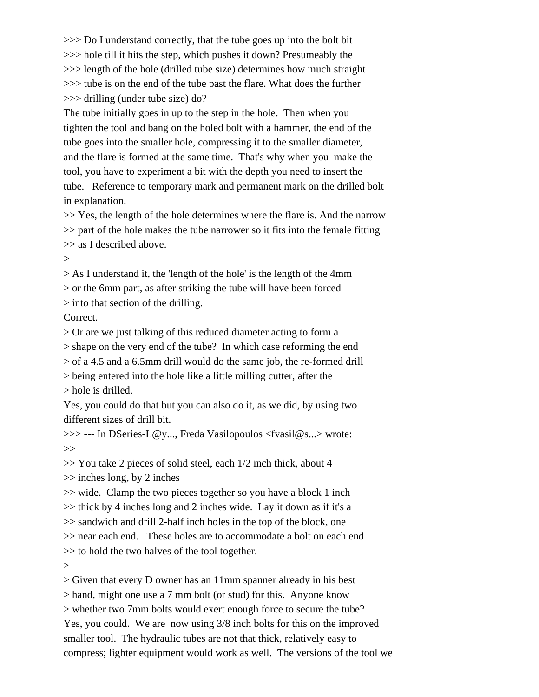>>> Do I understand correctly, that the tube goes up into the bolt bit >>> hole till it hits the step, which pushes it down? Presumeably the >>> length of the hole (drilled tube size) determines how much straight >>> tube is on the end of the tube past the flare. What does the further >>> drilling (under tube size) do?

The tube initially goes in up to the step in the hole. Then when you tighten the tool and bang on the holed bolt with a hammer, the end of the tube goes into the smaller hole, compressing it to the smaller diameter, and the flare is formed at the same time. That's why when you make the tool, you have to experiment a bit with the depth you need to insert the tube. Reference to temporary mark and permanent mark on the drilled bolt in explanation.

>> Yes, the length of the hole determines where the flare is. And the narrow >> part of the hole makes the tube narrower so it fits into the female fitting >> as I described above.

 $\geq$ 

> As I understand it, the 'length of the hole' is the length of the 4mm > or the 6mm part, as after striking the tube will have been forced

> into that section of the drilling.

Correct.

> Or are we just talking of this reduced diameter acting to form a

> shape on the very end of the tube? In which case reforming the end

> of a 4.5 and a 6.5mm drill would do the same job, the re-formed drill

> being entered into the hole like a little milling cutter, after the > hole is drilled.

Yes, you could do that but you can also do it, as we did, by using two different sizes of drill bit.

>>> --- In DSeries-L@y..., Freda Vasilopoulos <fvasil@s...> wrote: >>

>> You take 2 pieces of solid steel, each 1/2 inch thick, about 4 >> inches long, by 2 inches

>> wide. Clamp the two pieces together so you have a block 1 inch >> thick by 4 inches long and 2 inches wide. Lay it down as if it's a >> sandwich and drill 2-half inch holes in the top of the block, one

>> near each end. These holes are to accommodate a bolt on each end >> to hold the two halves of the tool together.

 $>$ 

> Given that every D owner has an 11mm spanner already in his best

> hand, might one use a 7 mm bolt (or stud) for this. Anyone know

> whether two 7mm bolts would exert enough force to secure the tube?

Yes, you could. We are now using 3/8 inch bolts for this on the improved

smaller tool. The hydraulic tubes are not that thick, relatively easy to compress; lighter equipment would work as well. The versions of the tool we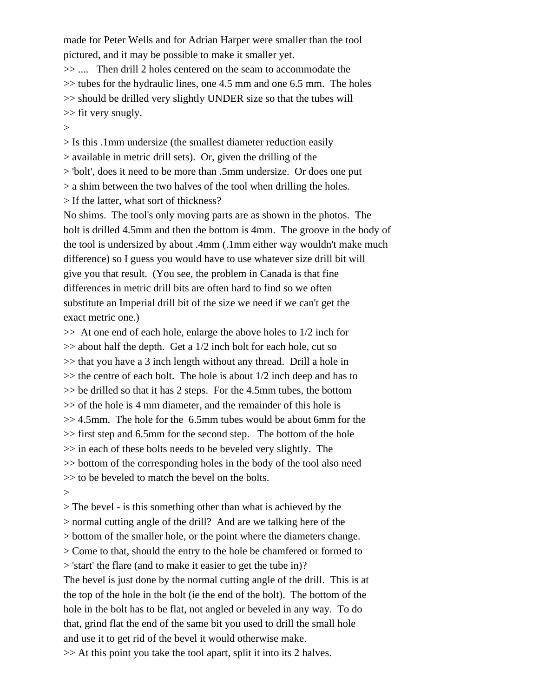made for Peter Wells and for Adrian Harper were smaller than the tool pictured, and it may be possible to make it smaller yet.

>> .... Then drill 2 holes centered on the seam to accommodate the  $\gg$  tubes for the hydraulic lines, one 4.5 mm and one 6.5 mm. The holes >> should be drilled very slightly UNDER size so that the tubes will >> fit very snugly.

 $\geq$ 

> Is this .1mm undersize (the smallest diameter reduction easily

> available in metric drill sets). Or, given the drilling of the

> 'bolt', does it need to be more than .5mm undersize. Or does one put

> a shim between the two halves of the tool when drilling the holes.

> If the latter, what sort of thickness?

No shims. The tool's only moving parts are as shown in the photos. The bolt is drilled 4.5mm and then the bottom is 4mm. The groove in the body of the tool is undersized by about .4mm (.1mm either way wouldn't make much difference) so I guess you would have to use whatever size drill bit will give you that result. (You see, the problem in Canada is that fine differences in metric drill bits are often hard to find so we often substitute an Imperial drill bit of the size we need if we can't get the exact metric one.)

>> At one end of each hole, enlarge the above holes to 1/2 inch for >> about half the depth. Get a 1/2 inch bolt for each hole, cut so >> that you have a 3 inch length without any thread. Drill a hole in  $\gg$  the centre of each bolt. The hole is about 1/2 inch deep and has to >> be drilled so that it has 2 steps. For the 4.5mm tubes, the bottom >> of the hole is 4 mm diameter, and the remainder of this hole is >> 4.5mm. The hole for the 6.5mm tubes would be about 6mm for the >> first step and 6.5mm for the second step. The bottom of the hole  $\gg$  in each of these bolts needs to be beveled very slightly. The >> bottom of the corresponding holes in the body of the tool also need >> to be beveled to match the bevel on the bolts.

 $\geq$ 

> The bevel - is this something other than what is achieved by the > normal cutting angle of the drill? And are we talking here of the > bottom of the smaller hole, or the point where the diameters change. > Come to that, should the entry to the hole be chamfered or formed to > 'start' the flare (and to make it easier to get the tube in)?

The bevel is just done by the normal cutting angle of the drill. This is at the top of the hole in the bolt (ie the end of the bolt). The bottom of the hole in the bolt has to be flat, not angled or beveled in any way. To do that, grind flat the end of the same bit you used to drill the small hole and use it to get rid of the bevel it would otherwise make.

>> At this point you take the tool apart, split it into its 2 halves.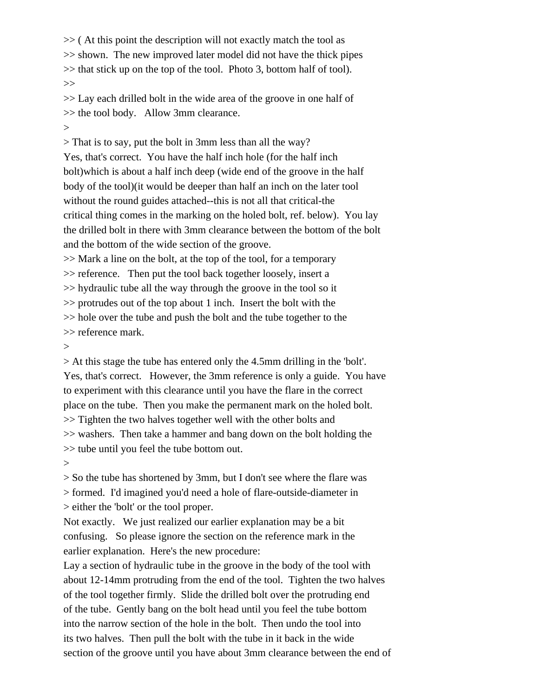>> ( At this point the description will not exactly match the tool as >> shown. The new improved later model did not have the thick pipes >> that stick up on the top of the tool. Photo 3, bottom half of tool). >>

>> Lay each drilled bolt in the wide area of the groove in one half of >> the tool body. Allow 3mm clearance.

> That is to say, put the bolt in 3mm less than all the way? Yes, that's correct. You have the half inch hole (for the half inch bolt)which is about a half inch deep (wide end of the groove in the half body of the tool)(it would be deeper than half an inch on the later tool without the round guides attached--this is not all that critical-the critical thing comes in the marking on the holed bolt, ref. below). You lay the drilled bolt in there with 3mm clearance between the bottom of the bolt and the bottom of the wide section of the groove.

>> Mark a line on the bolt, at the top of the tool, for a temporary >> reference. Then put the tool back together loosely, insert a >> hydraulic tube all the way through the groove in the tool so it >> protrudes out of the top about 1 inch. Insert the bolt with the >> hole over the tube and push the bolt and the tube together to the >> reference mark.

 $\geq$ 

>

> At this stage the tube has entered only the 4.5mm drilling in the 'bolt'. Yes, that's correct. However, the 3mm reference is only a guide. You have to experiment with this clearance until you have the flare in the correct place on the tube. Then you make the permanent mark on the holed bolt. >> Tighten the two halves together well with the other bolts and >> washers. Then take a hammer and bang down on the bolt holding the >> tube until you feel the tube bottom out.

## $\geq$

> So the tube has shortened by 3mm, but I don't see where the flare was > formed. I'd imagined you'd need a hole of flare-outside-diameter in > either the 'bolt' or the tool proper.

Not exactly. We just realized our earlier explanation may be a bit confusing. So please ignore the section on the reference mark in the earlier explanation. Here's the new procedure:

Lay a section of hydraulic tube in the groove in the body of the tool with about 12-14mm protruding from the end of the tool. Tighten the two halves of the tool together firmly. Slide the drilled bolt over the protruding end of the tube. Gently bang on the bolt head until you feel the tube bottom into the narrow section of the hole in the bolt. Then undo the tool into its two halves. Then pull the bolt with the tube in it back in the wide section of the groove until you have about 3mm clearance between the end of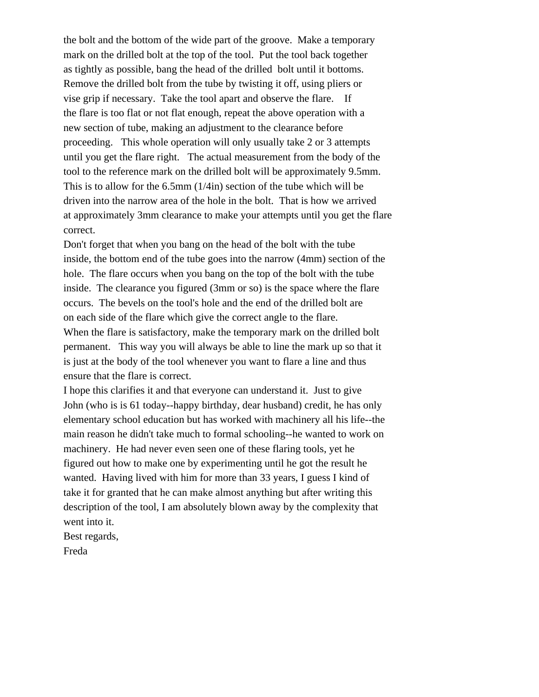the bolt and the bottom of the wide part of the groove. Make a temporary mark on the drilled bolt at the top of the tool. Put the tool back together as tightly as possible, bang the head of the drilled bolt until it bottoms. Remove the drilled bolt from the tube by twisting it off, using pliers or vise grip if necessary. Take the tool apart and observe the flare. If the flare is too flat or not flat enough, repeat the above operation with a new section of tube, making an adjustment to the clearance before proceeding. This whole operation will only usually take 2 or 3 attempts until you get the flare right. The actual measurement from the body of the tool to the reference mark on the drilled bolt will be approximately 9.5mm. This is to allow for the 6.5mm (1/4in) section of the tube which will be driven into the narrow area of the hole in the bolt. That is how we arrived at approximately 3mm clearance to make your attempts until you get the flare correct.

Don't forget that when you bang on the head of the bolt with the tube inside, the bottom end of the tube goes into the narrow (4mm) section of the hole. The flare occurs when you bang on the top of the bolt with the tube inside. The clearance you figured (3mm or so) is the space where the flare occurs. The bevels on the tool's hole and the end of the drilled bolt are on each side of the flare which give the correct angle to the flare. When the flare is satisfactory, make the temporary mark on the drilled bolt permanent. This way you will always be able to line the mark up so that it is just at the body of the tool whenever you want to flare a line and thus ensure that the flare is correct.

I hope this clarifies it and that everyone can understand it. Just to give John (who is is 61 today--happy birthday, dear husband) credit, he has only elementary school education but has worked with machinery all his life--the main reason he didn't take much to formal schooling--he wanted to work on machinery. He had never even seen one of these flaring tools, yet he figured out how to make one by experimenting until he got the result he wanted. Having lived with him for more than 33 years, I guess I kind of take it for granted that he can make almost anything but after writing this description of the tool, I am absolutely blown away by the complexity that went into it.

Best regards, Freda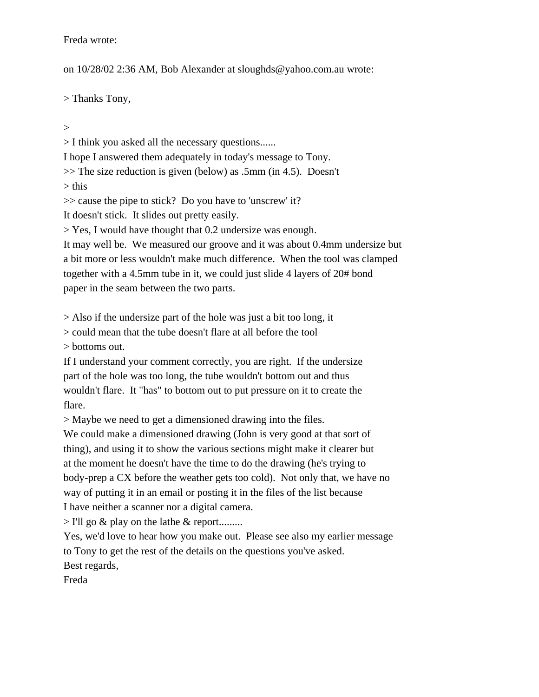Freda wrote:

on 10/28/02 2:36 AM, Bob Alexander at sloughds@yahoo.com.au wrote:

> Thanks Tony,

 $\geq$ 

> I think you asked all the necessary questions...... I hope I answered them adequately in today's message to Tony. >> The size reduction is given (below) as .5mm (in 4.5). Doesn't > this >> cause the pipe to stick? Do you have to 'unscrew' it? It doesn't stick. It slides out pretty easily. > Yes, I would have thought that 0.2 undersize was enough. It may well be. We measured our groove and it was about 0.4mm undersize but a bit more or less wouldn't make much difference. When the tool was clamped together with a 4.5mm tube in it, we could just slide 4 layers of 20# bond paper in the seam between the two parts.

> Also if the undersize part of the hole was just a bit too long, it

> could mean that the tube doesn't flare at all before the tool

> bottoms out.

If I understand your comment correctly, you are right. If the undersize part of the hole was too long, the tube wouldn't bottom out and thus wouldn't flare. It "has" to bottom out to put pressure on it to create the flare.

> Maybe we need to get a dimensioned drawing into the files.

We could make a dimensioned drawing (John is very good at that sort of thing), and using it to show the various sections might make it clearer but at the moment he doesn't have the time to do the drawing (he's trying to body-prep a CX before the weather gets too cold). Not only that, we have no way of putting it in an email or posting it in the files of the list because I have neither a scanner nor a digital camera.

> I'll go & play on the lathe & report.........

Yes, we'd love to hear how you make out. Please see also my earlier message to Tony to get the rest of the details on the questions you've asked. Best regards,

Freda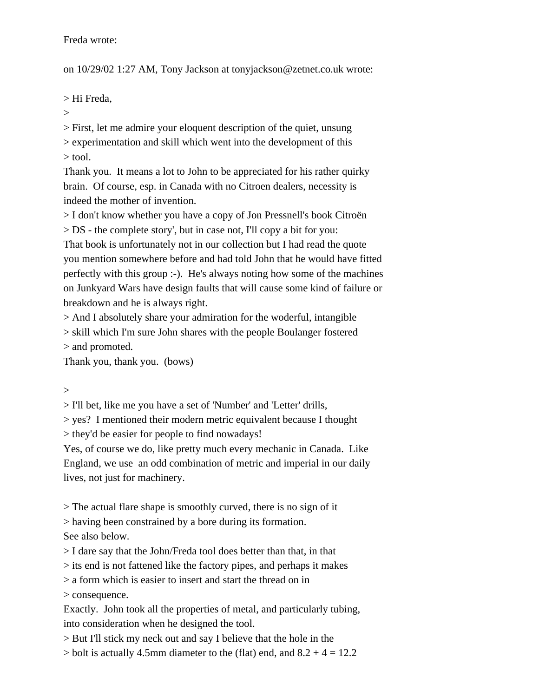on 10/29/02 1:27 AM, Tony Jackson at tonyjackson@zetnet.co.uk wrote:

> Hi Freda,

>

> First, let me admire your eloquent description of the quiet, unsung

> experimentation and skill which went into the development of this > tool.

Thank you. It means a lot to John to be appreciated for his rather quirky brain. Of course, esp. in Canada with no Citroen dealers, necessity is indeed the mother of invention.

> I don't know whether you have a copy of Jon Pressnell's book Citroën

> DS - the complete story', but in case not, I'll copy a bit for you:

That book is unfortunately not in our collection but I had read the quote you mention somewhere before and had told John that he would have fitted perfectly with this group :-). He's always noting how some of the machines on Junkyard Wars have design faults that will cause some kind of failure or breakdown and he is always right.

> And I absolutely share your admiration for the woderful, intangible

> skill which I'm sure John shares with the people Boulanger fostered

> and promoted.

Thank you, thank you. (bows)

 $>$ 

> I'll bet, like me you have a set of 'Number' and 'Letter' drills,

> yes? I mentioned their modern metric equivalent because I thought

> they'd be easier for people to find nowadays!

Yes, of course we do, like pretty much every mechanic in Canada. Like England, we use an odd combination of metric and imperial in our daily lives, not just for machinery.

> The actual flare shape is smoothly curved, there is no sign of it

> having been constrained by a bore during its formation. See also below.

> I dare say that the John/Freda tool does better than that, in that

> its end is not fattened like the factory pipes, and perhaps it makes

> a form which is easier to insert and start the thread on in

> consequence.

Exactly. John took all the properties of metal, and particularly tubing, into consideration when he designed the tool.

> But I'll stick my neck out and say I believe that the hole in the

 $>$  bolt is actually 4.5mm diameter to the (flat) end, and  $8.2 + 4 = 12.2$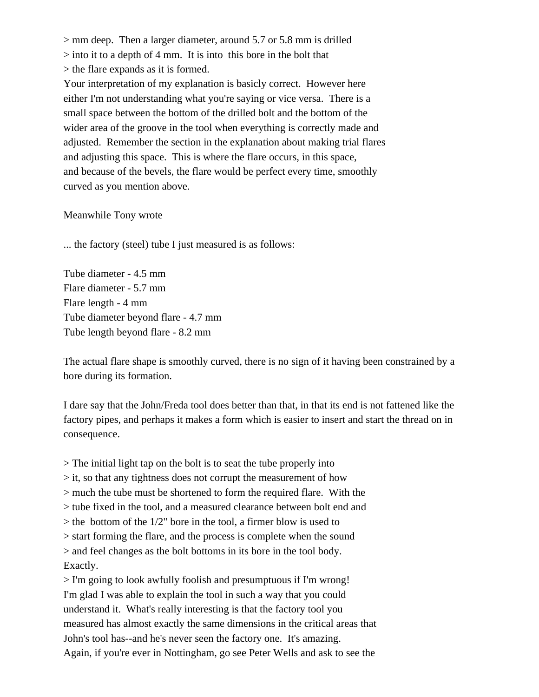> mm deep. Then a larger diameter, around 5.7 or 5.8 mm is drilled  $>$  into it to a depth of 4 mm. It is into this bore in the bolt that > the flare expands as it is formed.

Your interpretation of my explanation is basicly correct. However here either I'm not understanding what you're saying or vice versa. There is a small space between the bottom of the drilled bolt and the bottom of the wider area of the groove in the tool when everything is correctly made and adjusted. Remember the section in the explanation about making trial flares and adjusting this space. This is where the flare occurs, in this space, and because of the bevels, the flare would be perfect every time, smoothly curved as you mention above.

## Meanwhile Tony wrote

... the factory (steel) tube I just measured is as follows:

Tube diameter - 4.5 mm Flare diameter - 5.7 mm Flare length - 4 mm Tube diameter beyond flare - 4.7 mm Tube length beyond flare - 8.2 mm

The actual flare shape is smoothly curved, there is no sign of it having been constrained by a bore during its formation.

I dare say that the John/Freda tool does better than that, in that its end is not fattened like the factory pipes, and perhaps it makes a form which is easier to insert and start the thread on in consequence.

> The initial light tap on the bolt is to seat the tube properly into

 $>$  it, so that any tightness does not corrupt the measurement of how

> much the tube must be shortened to form the required flare. With the

> tube fixed in the tool, and a measured clearance between bolt end and

 $>$  the bottom of the 1/2" bore in the tool, a firmer blow is used to

> start forming the flare, and the process is complete when the sound

> and feel changes as the bolt bottoms in its bore in the tool body. Exactly.

> I'm going to look awfully foolish and presumptuous if I'm wrong! I'm glad I was able to explain the tool in such a way that you could understand it. What's really interesting is that the factory tool you measured has almost exactly the same dimensions in the critical areas that John's tool has--and he's never seen the factory one. It's amazing. Again, if you're ever in Nottingham, go see Peter Wells and ask to see the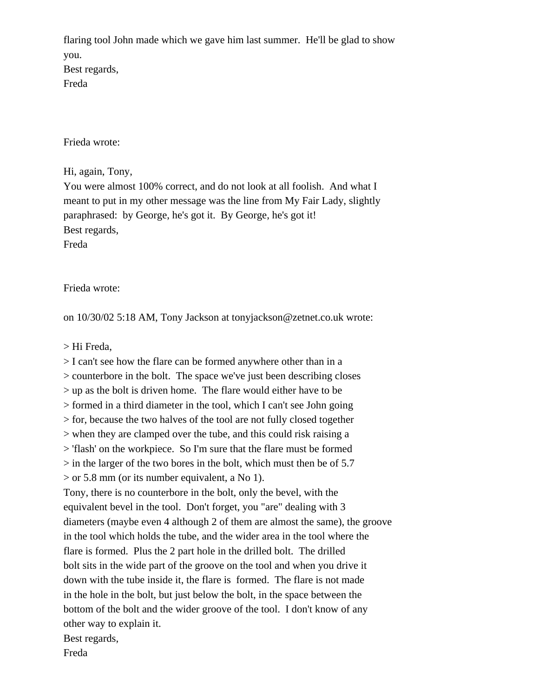flaring tool John made which we gave him last summer. He'll be glad to show you. Best regards, Freda

Frieda wrote:

Hi, again, Tony,

You were almost 100% correct, and do not look at all foolish. And what I meant to put in my other message was the line from My Fair Lady, slightly paraphrased: by George, he's got it. By George, he's got it! Best regards, Freda

Frieda wrote:

on 10/30/02 5:18 AM, Tony Jackson at tonyjackson@zetnet.co.uk wrote:

> Hi Freda,

> I can't see how the flare can be formed anywhere other than in a > counterbore in the bolt. The space we've just been describing closes > up as the bolt is driven home. The flare would either have to be > formed in a third diameter in the tool, which I can't see John going > for, because the two halves of the tool are not fully closed together > when they are clamped over the tube, and this could risk raising a > 'flash' on the workpiece. So I'm sure that the flare must be formed > in the larger of the two bores in the bolt, which must then be of 5.7 > or 5.8 mm (or its number equivalent, a No 1). Tony, there is no counterbore in the bolt, only the bevel, with the equivalent bevel in the tool. Don't forget, you "are" dealing with 3 diameters (maybe even 4 although 2 of them are almost the same), the groove in the tool which holds the tube, and the wider area in the tool where the flare is formed. Plus the 2 part hole in the drilled bolt. The drilled bolt sits in the wide part of the groove on the tool and when you drive it down with the tube inside it, the flare is formed. The flare is not made in the hole in the bolt, but just below the bolt, in the space between the bottom of the bolt and the wider groove of the tool. I don't know of any other way to explain it.

Best regards,

Freda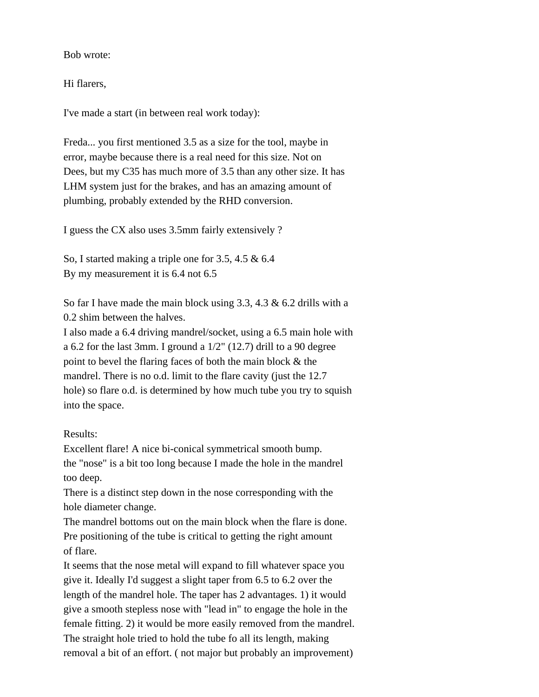Bob wrote:

Hi flarers,

I've made a start (in between real work today):

Freda... you first mentioned 3.5 as a size for the tool, maybe in error, maybe because there is a real need for this size. Not on Dees, but my C35 has much more of 3.5 than any other size. It has LHM system just for the brakes, and has an amazing amount of plumbing, probably extended by the RHD conversion.

I guess the CX also uses 3.5mm fairly extensively ?

So, I started making a triple one for 3.5, 4.5 & 6.4 By my measurement it is 6.4 not 6.5

So far I have made the main block using 3.3, 4.3 & 6.2 drills with a 0.2 shim between the halves.

I also made a 6.4 driving mandrel/socket, using a 6.5 main hole with a 6.2 for the last 3mm. I ground a 1/2" (12.7) drill to a 90 degree point to bevel the flaring faces of both the main block & the mandrel. There is no o.d. limit to the flare cavity (just the 12.7) hole) so flare o.d. is determined by how much tube you try to squish into the space.

## Results:

Excellent flare! A nice bi-conical symmetrical smooth bump. the "nose" is a bit too long because I made the hole in the mandrel too deep.

There is a distinct step down in the nose corresponding with the hole diameter change.

The mandrel bottoms out on the main block when the flare is done. Pre positioning of the tube is critical to getting the right amount of flare.

It seems that the nose metal will expand to fill whatever space you give it. Ideally I'd suggest a slight taper from 6.5 to 6.2 over the length of the mandrel hole. The taper has 2 advantages. 1) it would give a smooth stepless nose with "lead in" to engage the hole in the female fitting. 2) it would be more easily removed from the mandrel. The straight hole tried to hold the tube fo all its length, making removal a bit of an effort. ( not major but probably an improvement)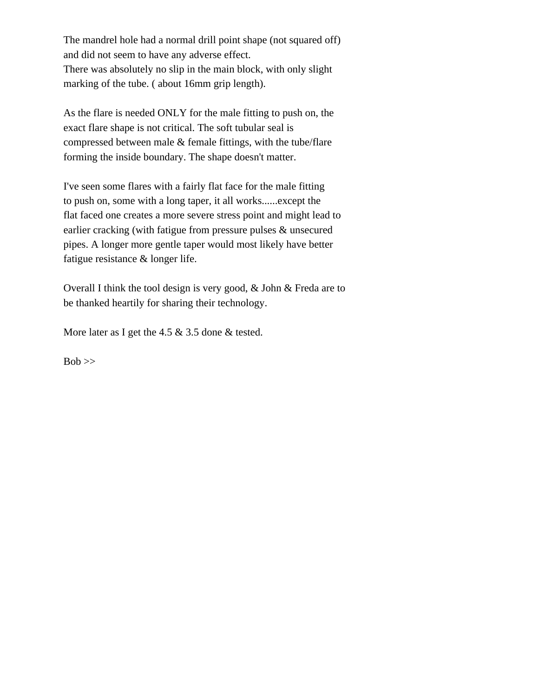The mandrel hole had a normal drill point shape (not squared off) and did not seem to have any adverse effect. There was absolutely no slip in the main block, with only slight marking of the tube. ( about 16mm grip length).

As the flare is needed ONLY for the male fitting to push on, the exact flare shape is not critical. The soft tubular seal is compressed between male & female fittings, with the tube/flare forming the inside boundary. The shape doesn't matter.

I've seen some flares with a fairly flat face for the male fitting to push on, some with a long taper, it all works......except the flat faced one creates a more severe stress point and might lead to earlier cracking (with fatigue from pressure pulses & unsecured pipes. A longer more gentle taper would most likely have better fatigue resistance & longer life.

Overall I think the tool design is very good, & John & Freda are to be thanked heartily for sharing their technology.

More later as I get the 4.5 & 3.5 done & tested.

 $Bob \gg$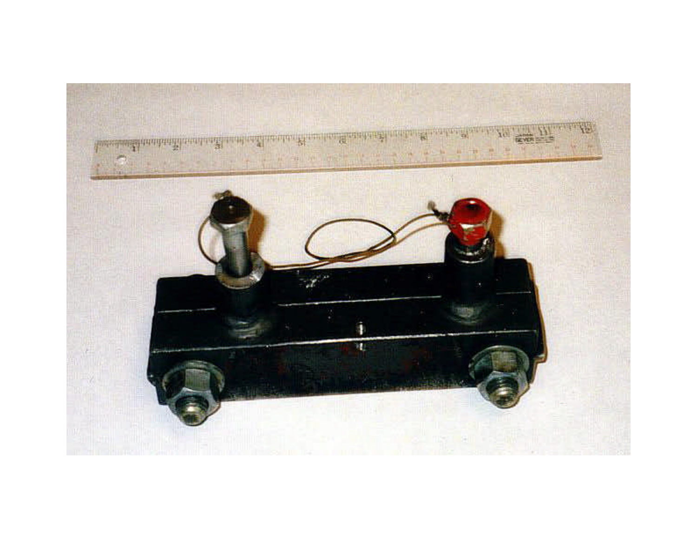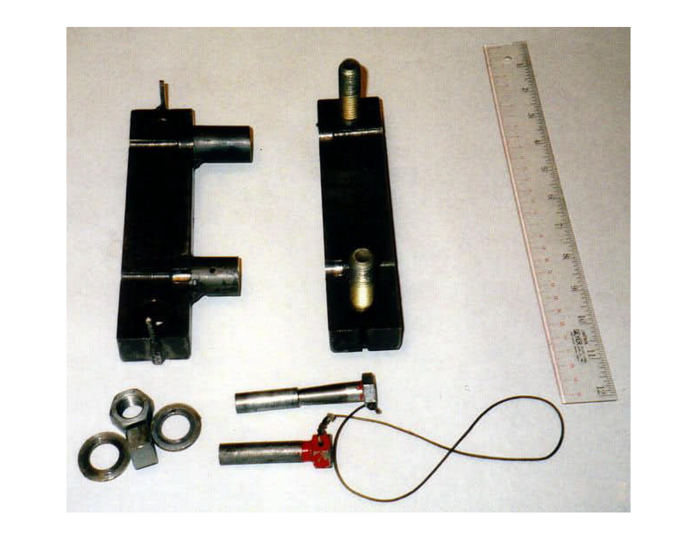